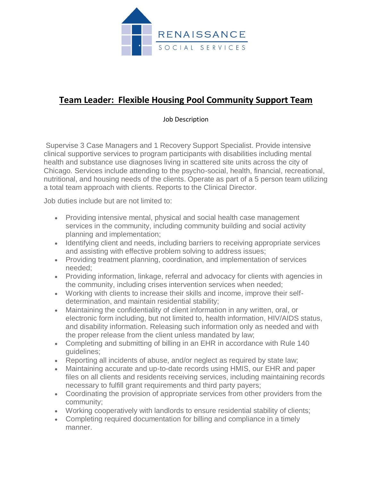

## **Team Leader: Flexible Housing Pool Community Support Team**

Job Description

Supervise 3 Case Managers and 1 Recovery Support Specialist. Provide intensive clinical supportive services to program participants with disabilities including mental health and substance use diagnoses living in scattered site units across the city of Chicago. Services include attending to the psycho-social, health, financial, recreational, nutritional, and housing needs of the clients. Operate as part of a 5 person team utilizing a total team approach with clients. Reports to the Clinical Director.

Job duties include but are not limited to:

- Providing intensive mental, physical and social health case management services in the community, including community building and social activity planning and implementation;
- Identifying client and needs, including barriers to receiving appropriate services and assisting with effective problem solving to address issues;
- Providing treatment planning, coordination, and implementation of services needed;
- Providing information, linkage, referral and advocacy for clients with agencies in the community, including crises intervention services when needed;
- Working with clients to increase their skills and income, improve their selfdetermination, and maintain residential stability;
- Maintaining the confidentiality of client information in any written, oral, or electronic form including, but not limited to, health information, HIV/AIDS status, and disability information. Releasing such information only as needed and with the proper release from the client unless mandated by law;
- Completing and submitting of billing in an EHR in accordance with Rule 140 guidelines;
- Reporting all incidents of abuse, and/or neglect as required by state law;
- Maintaining accurate and up-to-date records using HMIS, our EHR and paper files on all clients and residents receiving services, including maintaining records necessary to fulfill grant requirements and third party payers;
- Coordinating the provision of appropriate services from other providers from the community;
- Working cooperatively with landlords to ensure residential stability of clients;
- Completing required documentation for billing and compliance in a timely manner.